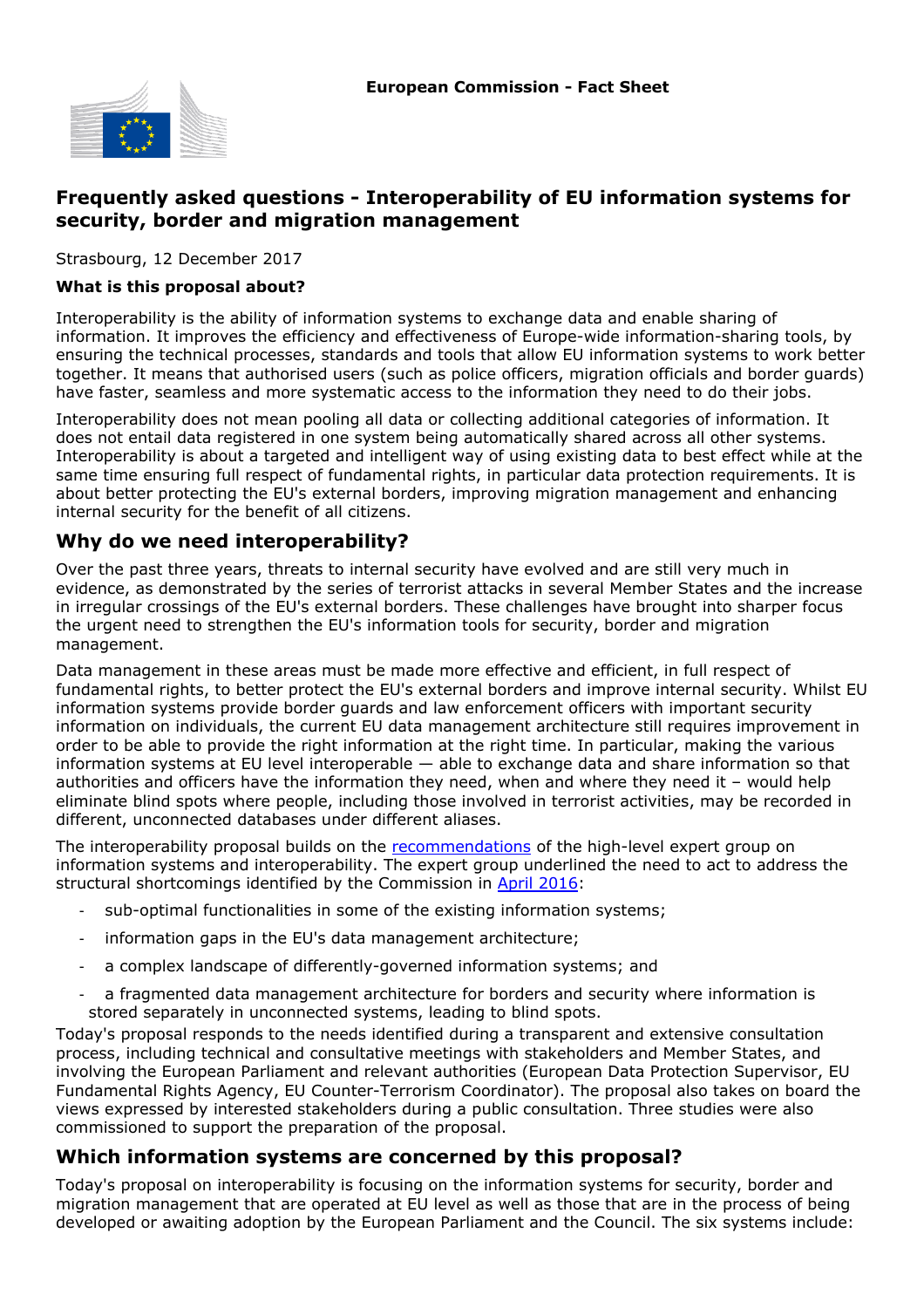

# **Frequently asked questions - Interoperability of EU information systems for security, border and migration management**

Strasbourg, 12 December 2017

#### **What is this proposal about?**

Interoperability is the ability of information systems to exchange data and enable sharing of information. It improves the efficiency and effectiveness of Europe-wide information-sharing tools, by ensuring the technical processes, standards and tools that allow EU information systems to work better together. It means that authorised users (such as police officers, migration officials and border guards) have faster, seamless and more systematic access to the information they need to do their jobs.

Interoperability does not mean pooling all data or collecting additional categories of information. It does not entail data registered in one system being automatically shared across all other systems. Interoperability is about a targeted and intelligent way of using existing data to best effect while at the same time ensuring full respect of fundamental rights, in particular data protection requirements. It is about better protecting the EU's external borders, improving migration management and enhancing internal security for the benefit of all citizens.

#### **Why do we need interoperability?**

Over the past three years, threats to internal security have evolved and are still very much in evidence, as demonstrated by the series of terrorist attacks in several Member States and the increase in irregular crossings of the EU's external borders. These challenges have brought into sharper focus the urgent need to strengthen the EU's information tools for security, border and migration management.

Data management in these areas must be made more effective and efficient, in full respect of fundamental rights, to better protect the EU's external borders and improve internal security. Whilst EU information systems provide border guards and law enforcement officers with important security information on individuals, the current EU data management architecture still requires improvement in order to be able to provide the right information at the right time. In particular, making the various information systems at EU level interoperable — able to exchange data and share information so that authorities and officers have the information they need, when and where they need it – would help eliminate blind spots where people, including those involved in terrorist activities, may be recorded in different, unconnected databases under different aliases.

The interoperability proposal builds on the [recommendations](http://ec.europa.eu/transparency/regexpert/index.cfm?do=groupDetail.groupDetailDoc&id=32600&no=1) of the high-level expert group on information systems and interoperability. The expert group underlined the need to act to address the structural shortcomings identified by the Commission in [April 2016](https://ec.europa.eu/home-affairs/sites/homeaffairs/files/what-we-do/policies/securing-eu-borders/legal-documents/docs/20160406/communication_on_stronger_and_smart_borders_20160406_en.pdf):

- sub-optimal functionalities in some of the existing information systems;
- information gaps in the EU's data management architecture;
- a complex landscape of differently-governed information systems; and
- a fragmented data management architecture for borders and security where information is stored separately in unconnected systems, leading to blind spots. -

Today's proposal responds to the needs identified during a transparent and extensive consultation process, including technical and consultative meetings with stakeholders and Member States, and involving the European Parliament and relevant authorities (European Data Protection Supervisor, EU Fundamental Rights Agency, EU Counter-Terrorism Coordinator). The proposal also takes on board the views expressed by interested stakeholders during a public consultation. Three studies were also commissioned to support the preparation of the proposal.

#### **Which information systems are concerned by this proposal?**

Today's proposal on interoperability is focusing on the information systems for security, border and migration management that are operated at EU level as well as those that are in the process of being developed or awaiting adoption by the European Parliament and the Council. The six systems include: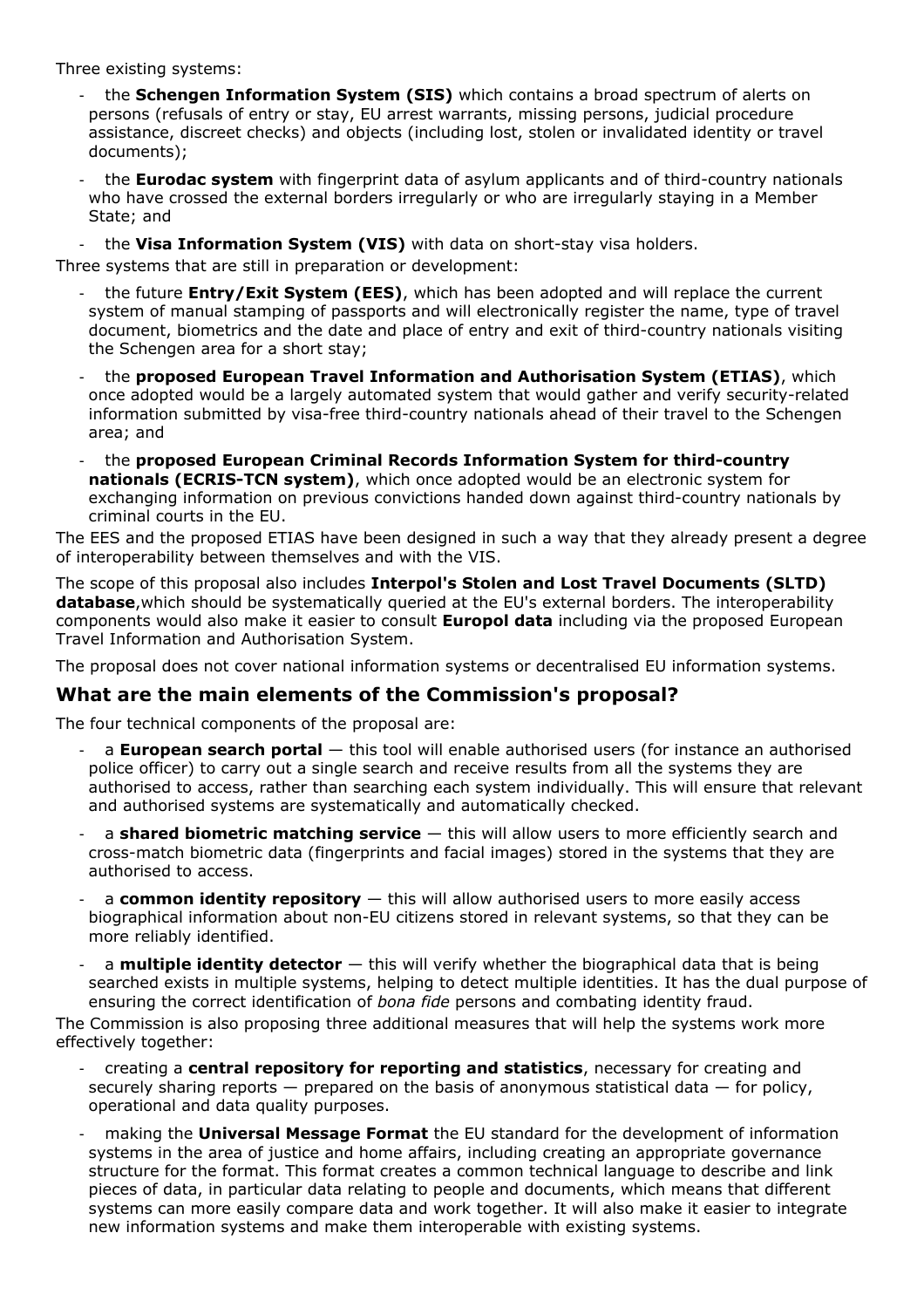Three existing systems:

- the **Schengen Information System (SIS)** which contains a broad spectrum of alerts on persons (refusals of entry or stay, EU arrest warrants, missing persons, judicial procedure assistance, discreet checks) and objects (including lost, stolen or invalidated identity or travel documents);
- the **Eurodac system** with fingerprint data of asylum applicants and of third-country nationals who have crossed the external borders irregularly or who are irregularly staying in a Member State; and -

the Visa Information System (VIS) with data on short-stay visa holders.

Three systems that are still in preparation or development:

- the future **Entry/Exit System (EES)**, which has been adopted and will replace the current system of manual stamping of passports and will electronically register the name, type of travel document, biometrics and the date and place of entry and exit of third-country nationals visiting the Schengen area for a short stay; -
- the **proposed European Travel Information and Authorisation System (ETIAS)**, which once adopted would be a largely automated system that would gather and verify security-related information submitted by visa-free third-country nationals ahead of their travel to the Schengen area; and -
- the **proposed European Criminal Records Information System for third-country nationals (ECRIS-TCN system)**, which once adopted would be an electronic system for exchanging information on previous convictions handed down against third-country nationals by criminal courts in the EU. -

The EES and the proposed ETIAS have been designed in such a way that they already present a degree of interoperability between themselves and with the VIS.

The scope of this proposal also includes **Interpol's Stolen and Lost Travel Documents (SLTD) database**,which should be systematically queried at the EU's external borders. The interoperability components would also make it easier to consult **Europol data** including via the proposed European Travel Information and Authorisation System.

The proposal does not cover national information systems or decentralised EU information systems.

# **What are the main elements of the Commission's proposal?**

The four technical components of the proposal are:

- a **European search portal** this tool will enable authorised users (for instance an authorised police officer) to carry out a single search and receive results from all the systems they are authorised to access, rather than searching each system individually. This will ensure that relevant and authorised systems are systematically and automatically checked. -
- a **shared biometric matching service** this will allow users to more efficiently search and cross-match biometric data (fingerprints and facial images) stored in the systems that they are authorised to access. -
- a **common identity repository** this will allow authorised users to more easily access biographical information about non-EU citizens stored in relevant systems, so that they can be more reliably identified. -
- a **multiple identity detector** this will verify whether the biographical data that is being searched exists in multiple systems, helping to detect multiple identities. It has the dual purpose of ensuring the correct identification of *bona fide* persons and combating identity fraud. -

The Commission is also proposing three additional measures that will help the systems work more effectively together:

- creating a **central repository for reporting and statistics**, necessary for creating and securely sharing reports  $-$  prepared on the basis of anonymous statistical data  $-$  for policy, operational and data quality purposes. -
- making the **Universal Message Format** the EU standard for the development of information systems in the area of justice and home affairs, including creating an appropriate governance structure for the format. This format creates a common technical language to describe and link pieces of data, in particular data relating to people and documents, which means that different systems can more easily compare data and work together. It will also make it easier to integrate new information systems and make them interoperable with existing systems. -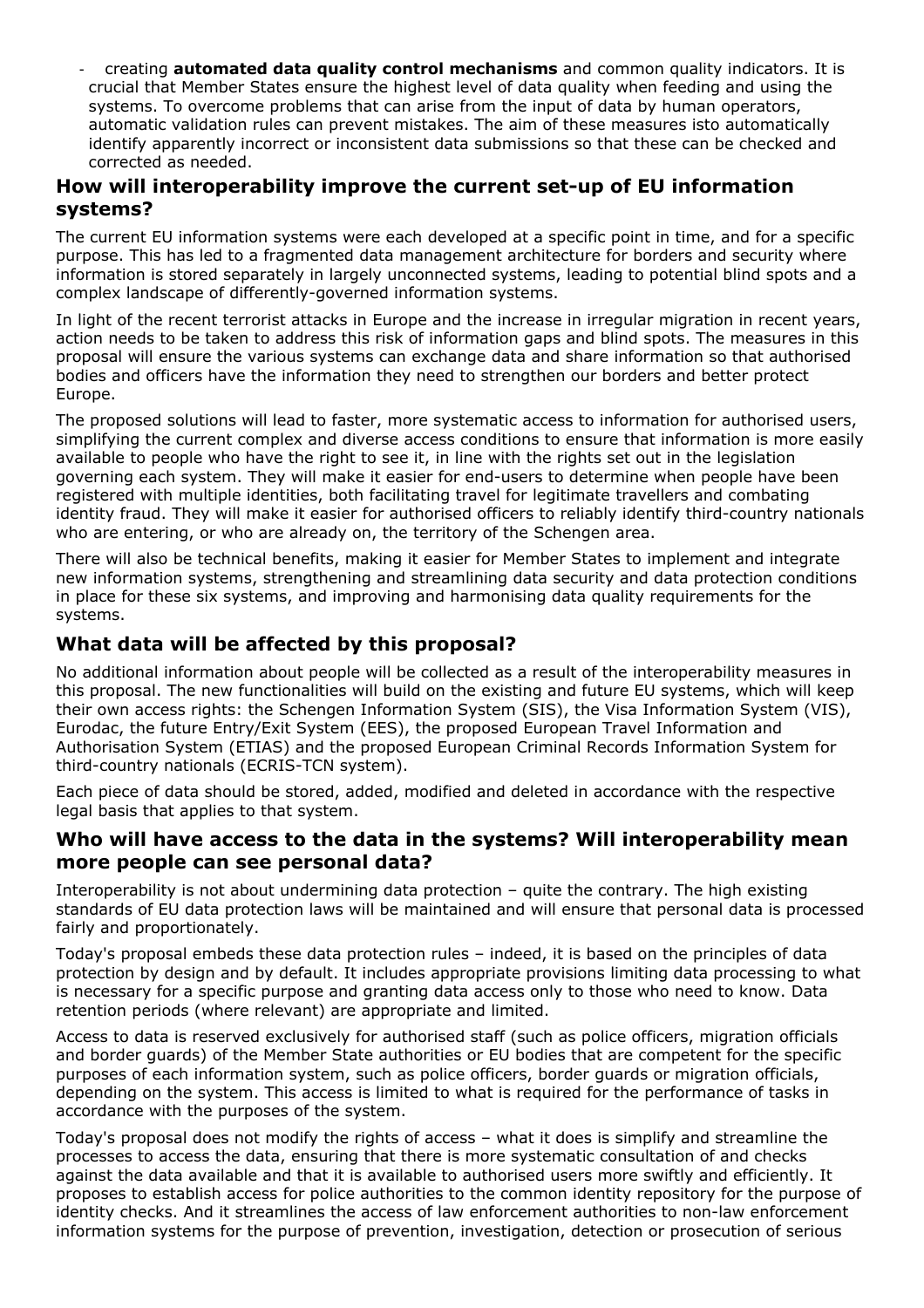creating **automated data quality control mechanisms** and common quality indicators. It is crucial that Member States ensure the highest level of data quality when feeding and using the systems. To overcome problems that can arise from the input of data by human operators, automatic validation rules can prevent mistakes. The aim of these measures isto automatically identify apparently incorrect or inconsistent data submissions so that these can be checked and corrected as needed. -

#### **How will interoperability improve the current set-up of EU information systems?**

The current EU information systems were each developed at a specific point in time, and for a specific purpose. This has led to a fragmented data management architecture for borders and security where information is stored separately in largely unconnected systems, leading to potential blind spots and a complex landscape of differently-governed information systems.

In light of the recent terrorist attacks in Europe and the increase in irregular migration in recent years, action needs to be taken to address this risk of information gaps and blind spots. The measures in this proposal will ensure the various systems can exchange data and share information so that authorised bodies and officers have the information they need to strengthen our borders and better protect Europe.

The proposed solutions will lead to faster, more systematic access to information for authorised users, simplifying the current complex and diverse access conditions to ensure that information is more easily available to people who have the right to see it, in line with the rights set out in the legislation governing each system. They will make it easier for end-users to determine when people have been registered with multiple identities, both facilitating travel for legitimate travellers and combating identity fraud. They will make it easier for authorised officers to reliably identify third-country nationals who are entering, or who are already on, the territory of the Schengen area.

There will also be technical benefits, making it easier for Member States to implement and integrate new information systems, strengthening and streamlining data security and data protection conditions in place for these six systems, and improving and harmonising data quality requirements for the systems.

# **What data will be affected by this proposal?**

No additional information about people will be collected as a result of the interoperability measures in this proposal. The new functionalities will build on the existing and future EU systems, which will keep their own access rights: the Schengen Information System (SIS), the Visa Information System (VIS), Eurodac, the future Entry/Exit System (EES), the proposed European Travel Information and Authorisation System (ETIAS) and the proposed European Criminal Records Information System for third-country nationals (ECRIS-TCN system).

Each piece of data should be stored, added, modified and deleted in accordance with the respective legal basis that applies to that system.

#### **Who will have access to the data in the systems? Will interoperability mean more people can see personal data?**

Interoperability is not about undermining data protection – quite the contrary. The high existing standards of EU data protection laws will be maintained and will ensure that personal data is processed fairly and proportionately.

Today's proposal embeds these data protection rules – indeed, it is based on the principles of data protection by design and by default. It includes appropriate provisions limiting data processing to what is necessary for a specific purpose and granting data access only to those who need to know. Data retention periods (where relevant) are appropriate and limited.

Access to data is reserved exclusively for authorised staff (such as police officers, migration officials and border guards) of the Member State authorities or EU bodies that are competent for the specific purposes of each information system, such as police officers, border guards or migration officials, depending on the system. This access is limited to what is required for the performance of tasks in accordance with the purposes of the system.

Today's proposal does not modify the rights of access – what it does is simplify and streamline the processes to access the data, ensuring that there is more systematic consultation of and checks against the data available and that it is available to authorised users more swiftly and efficiently. It proposes to establish access for police authorities to the common identity repository for the purpose of identity checks. And it streamlines the access of law enforcement authorities to non-law enforcement information systems for the purpose of prevention, investigation, detection or prosecution of serious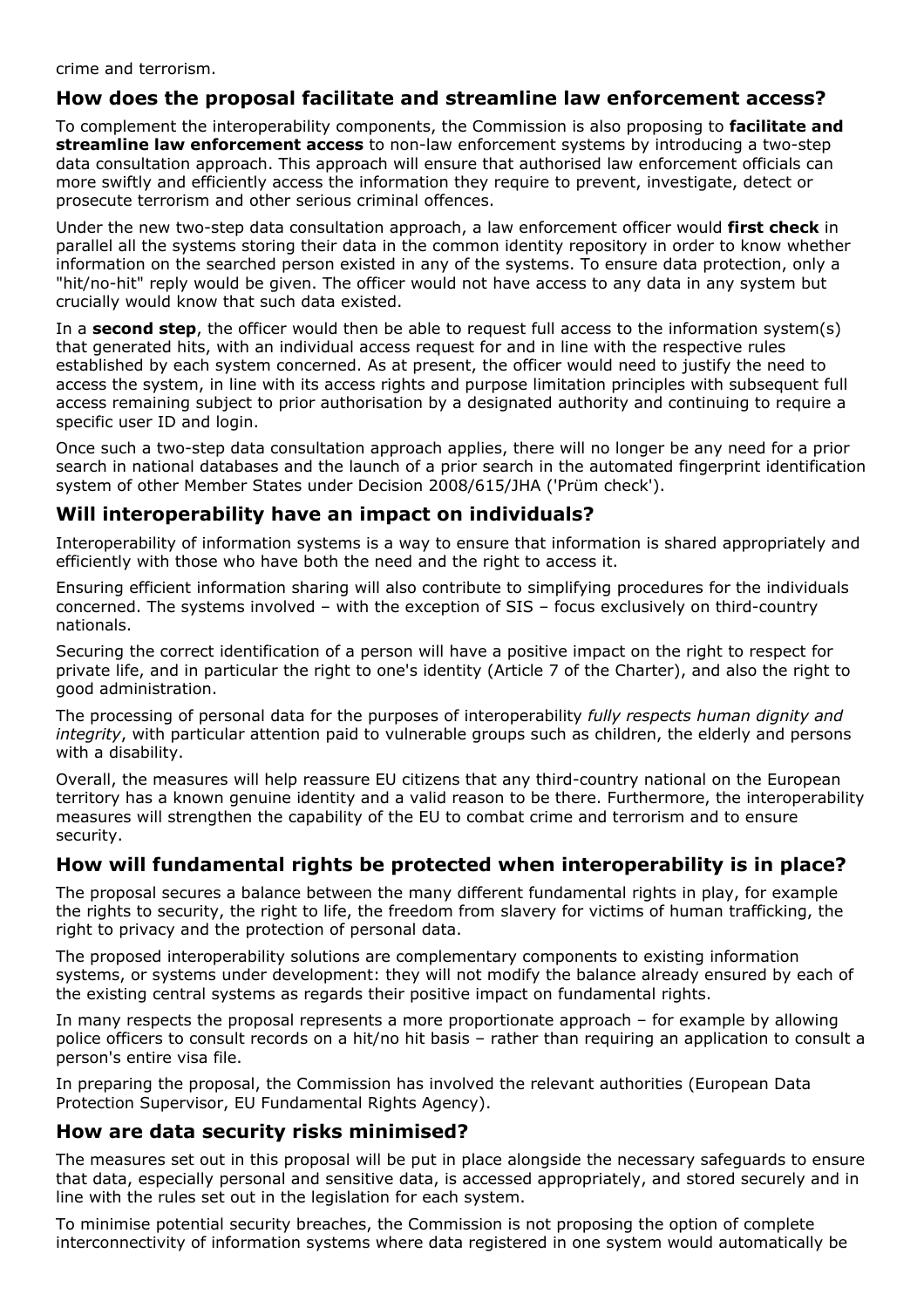crime and terrorism.

# **How does the proposal facilitate and streamline law enforcement access?**

To complement the interoperability components, the Commission is also proposing to **facilitate and streamline law enforcement access** to non-law enforcement systems by introducing a two-step data consultation approach. This approach will ensure that authorised law enforcement officials can more swiftly and efficiently access the information they require to prevent, investigate, detect or prosecute terrorism and other serious criminal offences.

Under the new two-step data consultation approach, a law enforcement officer would **first check** in parallel all the systems storing their data in the common identity repository in order to know whether information on the searched person existed in any of the systems. To ensure data protection, only a "hit/no-hit" reply would be given. The officer would not have access to any data in any system but crucially would know that such data existed.

In a **second step**, the officer would then be able to request full access to the information system(s) that generated hits, with an individual access request for and in line with the respective rules established by each system concerned. As at present, the officer would need to justify the need to access the system, in line with its access rights and purpose limitation principles with subsequent full access remaining subject to prior authorisation by a designated authority and continuing to require a specific user ID and login.

Once such a two-step data consultation approach applies, there will no longer be any need for a prior search in national databases and the launch of a prior search in the automated fingerprint identification system of other Member States under Decision 2008/615/JHA ('Prüm check').

### **Will interoperability have an impact on individuals?**

Interoperability of information systems is a way to ensure that information is shared appropriately and efficiently with those who have both the need and the right to access it.

Ensuring efficient information sharing will also contribute to simplifying procedures for the individuals concerned. The systems involved – with the exception of SIS – focus exclusively on third-country nationals.

Securing the correct identification of a person will have a positive impact on the right to respect for private life, and in particular the right to one's identity (Article 7 of the Charter), and also the right to good administration.

The processing of personal data for the purposes of interoperability *fully respects human dignity and integrity*, with particular attention paid to vulnerable groups such as children, the elderly and persons with a disability.

Overall, the measures will help reassure EU citizens that any third-country national on the European territory has a known genuine identity and a valid reason to be there. Furthermore, the interoperability measures will strengthen the capability of the EU to combat crime and terrorism and to ensure security.

# **How will fundamental rights be protected when interoperability is in place?**

The proposal secures a balance between the many different fundamental rights in play, for example the rights to security, the right to life, the freedom from slavery for victims of human trafficking, the right to privacy and the protection of personal data.

The proposed interoperability solutions are complementary components to existing information systems, or systems under development: they will not modify the balance already ensured by each of the existing central systems as regards their positive impact on fundamental rights.

In many respects the proposal represents a more proportionate approach – for example by allowing police officers to consult records on a hit/no hit basis – rather than requiring an application to consult a person's entire visa file.

In preparing the proposal, the Commission has involved the relevant authorities (European Data Protection Supervisor, EU Fundamental Rights Agency).

# **How are data security risks minimised?**

The measures set out in this proposal will be put in place alongside the necessary safeguards to ensure that data, especially personal and sensitive data, is accessed appropriately, and stored securely and in line with the rules set out in the legislation for each system.

To minimise potential security breaches, the Commission is not proposing the option of complete interconnectivity of information systems where data registered in one system would automatically be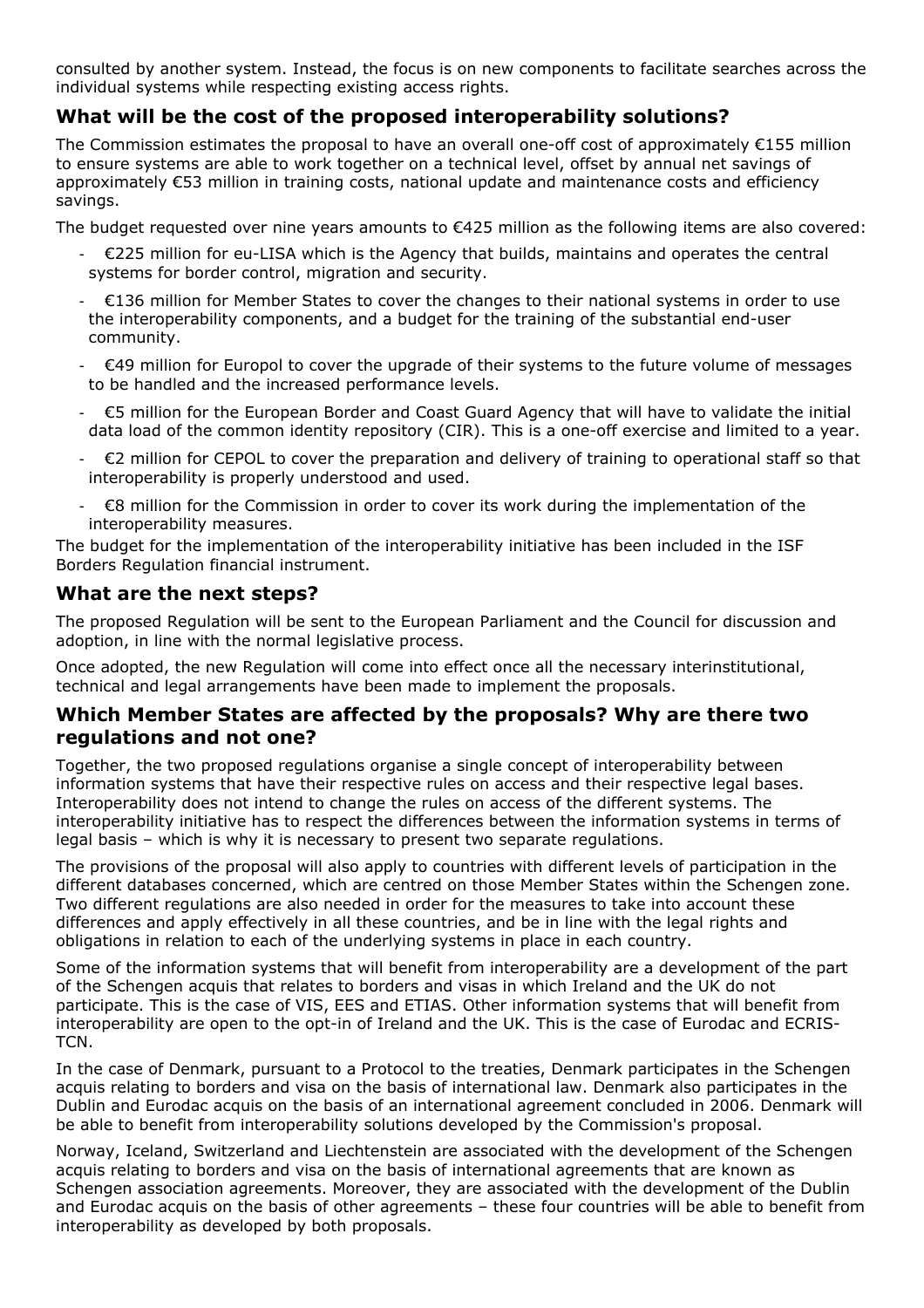consulted by another system. Instead, the focus is on new components to facilitate searches across the individual systems while respecting existing access rights.

# **What will be the cost of the proposed interoperability solutions?**

The Commission estimates the proposal to have an overall one-off cost of approximately €155 million to ensure systems are able to work together on a technical level, offset by annual net savings of approximately €53 million in training costs, national update and maintenance costs and efficiency savings.

The budget requested over nine years amounts to €425 million as the following items are also covered:

- €225 million for eu-LISA which is the Agency that builds, maintains and operates the central systems for border control, migration and security.
- €136 million for Member States to cover the changes to their national systems in order to use the interoperability components, and a budget for the training of the substantial end-user community. -
- €49 million for Europol to cover the upgrade of their systems to the future volume of messages to be handled and the increased performance levels. -
- €5 million for the European Border and Coast Guard Agency that will have to validate the initial data load of the common identity repository (CIR). This is a one-off exercise and limited to a year. -
- €2 million for CEPOL to cover the preparation and delivery of training to operational staff so that interoperability is properly understood and used. -
- €8 million for the Commission in order to cover its work during the implementation of the interoperability measures. -

The budget for the implementation of the interoperability initiative has been included in the ISF Borders Regulation financial instrument.

### **What are the next steps?**

The proposed Regulation will be sent to the European Parliament and the Council for discussion and adoption, in line with the normal legislative process.

Once adopted, the new Regulation will come into effect once all the necessary interinstitutional, technical and legal arrangements have been made to implement the proposals.

### **Which Member States are affected by the proposals? Why are there two regulations and not one?**

Together, the two proposed regulations organise a single concept of interoperability between information systems that have their respective rules on access and their respective legal bases. Interoperability does not intend to change the rules on access of the different systems. The interoperability initiative has to respect the differences between the information systems in terms of legal basis – which is why it is necessary to present two separate regulations.

The provisions of the proposal will also apply to countries with different levels of participation in the different databases concerned, which are centred on those Member States within the Schengen zone. Two different regulations are also needed in order for the measures to take into account these differences and apply effectively in all these countries, and be in line with the legal rights and obligations in relation to each of the underlying systems in place in each country.

Some of the information systems that will benefit from interoperability are a development of the part of the Schengen acquis that relates to borders and visas in which Ireland and the UK do not participate. This is the case of VIS, EES and ETIAS. Other information systems that will benefit from interoperability are open to the opt-in of Ireland and the UK. This is the case of Eurodac and ECRIS-TCN.

In the case of Denmark, pursuant to a Protocol to the treaties, Denmark participates in the Schengen acquis relating to borders and visa on the basis of international law. Denmark also participates in the Dublin and Eurodac acquis on the basis of an international agreement concluded in 2006. Denmark will be able to benefit from interoperability solutions developed by the Commission's proposal.

Norway, Iceland, Switzerland and Liechtenstein are associated with the development of the Schengen acquis relating to borders and visa on the basis of international agreements that are known as Schengen association agreements. Moreover, they are associated with the development of the Dublin and Eurodac acquis on the basis of other agreements – these four countries will be able to benefit from interoperability as developed by both proposals.